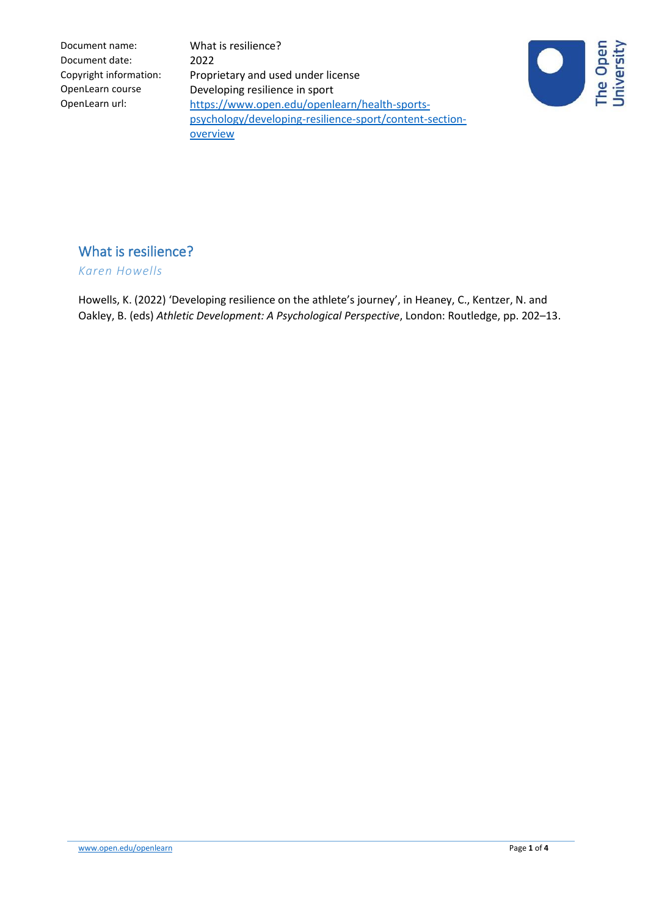Copyright information: Proprietary and used under license OpenLearn course Developing resilience in sport OpenLearn url: [https://www.open.edu/openlearn/health-sports](https://www.open.edu/openlearn/health-sports-psychology/developing-resilience-sport/content-section-overview)[psychology/developing-resilience-sport/content-section](https://www.open.edu/openlearn/health-sports-psychology/developing-resilience-sport/content-section-overview)**[overview](https://www.open.edu/openlearn/health-sports-psychology/developing-resilience-sport/content-section-overview)** 



## What is resilience?

*Karen Howells*

Howells, K. (2022) 'Developing resilience on the athlete's journey', in Heaney, C., Kentzer, N. and Oakley, B. (eds) *Athletic Development: A Psychological Perspective*, London: Routledge, pp. 202–13.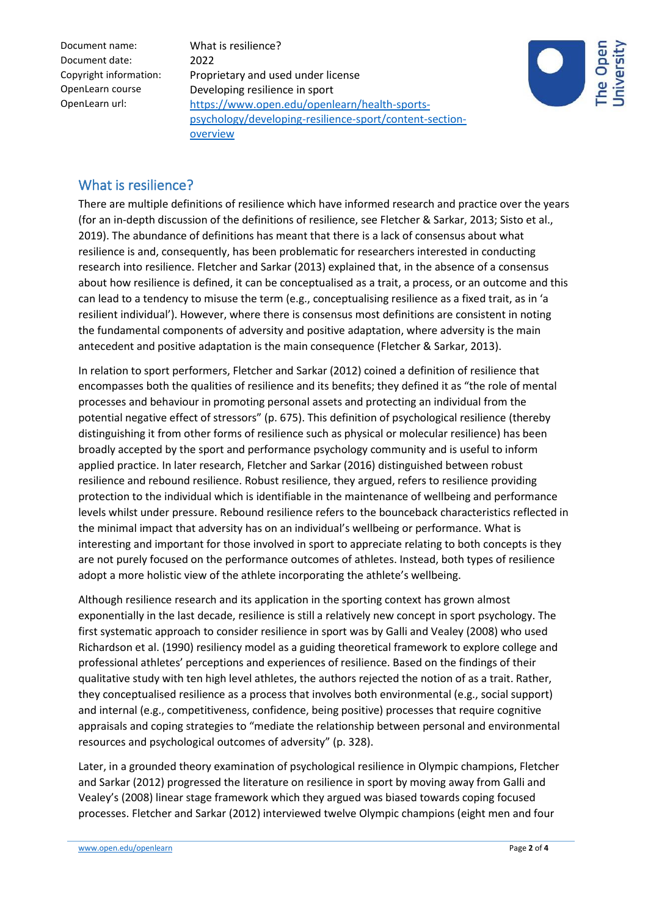Copyright information: Proprietary and used under license OpenLearn course Developing resilience in sport OpenLearn url: [https://www.open.edu/openlearn/health-sports](https://www.open.edu/openlearn/health-sports-psychology/developing-resilience-sport/content-section-overview)[psychology/developing-resilience-sport/content-section](https://www.open.edu/openlearn/health-sports-psychology/developing-resilience-sport/content-section-overview)**[overview](https://www.open.edu/openlearn/health-sports-psychology/developing-resilience-sport/content-section-overview)** 



## What is resilience?

There are multiple definitions of resilience which have informed research and practice over the years (for an in-depth discussion of the definitions of resilience, see Fletcher & Sarkar, 2013; Sisto et al., 2019). The abundance of definitions has meant that there is a lack of consensus about what resilience is and, consequently, has been problematic for researchers interested in conducting research into resilience. Fletcher and Sarkar (2013) explained that, in the absence of a consensus about how resilience is defined, it can be conceptualised as a trait, a process, or an outcome and this can lead to a tendency to misuse the term (e.g., conceptualising resilience as a fixed trait, as in 'a resilient individual'). However, where there is consensus most definitions are consistent in noting the fundamental components of adversity and positive adaptation, where adversity is the main antecedent and positive adaptation is the main consequence (Fletcher & Sarkar, 2013).

In relation to sport performers, Fletcher and Sarkar (2012) coined a definition of resilience that encompasses both the qualities of resilience and its benefits; they defined it as "the role of mental processes and behaviour in promoting personal assets and protecting an individual from the potential negative effect of stressors" (p. 675). This definition of psychological resilience (thereby distinguishing it from other forms of resilience such as physical or molecular resilience) has been broadly accepted by the sport and performance psychology community and is useful to inform applied practice. In later research, Fletcher and Sarkar (2016) distinguished between robust resilience and rebound resilience. Robust resilience, they argued, refers to resilience providing protection to the individual which is identifiable in the maintenance of wellbeing and performance levels whilst under pressure. Rebound resilience refers to the bounceback characteristics reflected in the minimal impact that adversity has on an individual's wellbeing or performance. What is interesting and important for those involved in sport to appreciate relating to both concepts is they are not purely focused on the performance outcomes of athletes. Instead, both types of resilience adopt a more holistic view of the athlete incorporating the athlete's wellbeing.

Although resilience research and its application in the sporting context has grown almost exponentially in the last decade, resilience is still a relatively new concept in sport psychology. The first systematic approach to consider resilience in sport was by Galli and Vealey (2008) who used Richardson et al. (1990) resiliency model as a guiding theoretical framework to explore college and professional athletes' perceptions and experiences of resilience. Based on the findings of their qualitative study with ten high level athletes, the authors rejected the notion of as a trait. Rather, they conceptualised resilience as a process that involves both environmental (e.g., social support) and internal (e.g., competitiveness, confidence, being positive) processes that require cognitive appraisals and coping strategies to "mediate the relationship between personal and environmental resources and psychological outcomes of adversity" (p. 328).

Later, in a grounded theory examination of psychological resilience in Olympic champions, Fletcher and Sarkar (2012) progressed the literature on resilience in sport by moving away from Galli and Vealey's (2008) linear stage framework which they argued was biased towards coping focused processes. Fletcher and Sarkar (2012) interviewed twelve Olympic champions (eight men and four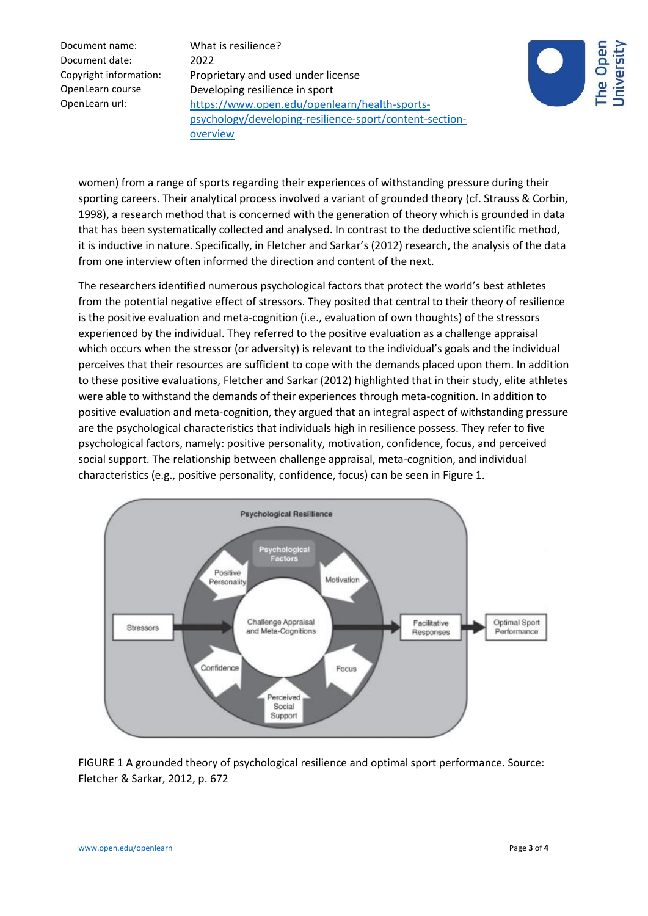Copyright information: Proprietary and used under license OpenLearn course Developing resilience in sport OpenLearn url: [https://www.open.edu/openlearn/health-sports](https://www.open.edu/openlearn/health-sports-psychology/developing-resilience-sport/content-section-overview)[psychology/developing-resilience-sport/content-section](https://www.open.edu/openlearn/health-sports-psychology/developing-resilience-sport/content-section-overview)**[overview](https://www.open.edu/openlearn/health-sports-psychology/developing-resilience-sport/content-section-overview)** 



women) from a range of sports regarding their experiences of withstanding pressure during their sporting careers. Their analytical process involved a variant of grounded theory (cf. Strauss & Corbin, 1998), a research method that is concerned with the generation of theory which is grounded in data that has been systematically collected and analysed. In contrast to the deductive scientific method, it is inductive in nature. Specifically, in Fletcher and Sarkar's (2012) research, the analysis of the data from one interview often informed the direction and content of the next.

The researchers identified numerous psychological factors that protect the world's best athletes from the potential negative effect of stressors. They posited that central to their theory of resilience is the positive evaluation and meta-cognition (i.e., evaluation of own thoughts) of the stressors experienced by the individual. They referred to the positive evaluation as a challenge appraisal which occurs when the stressor (or adversity) is relevant to the individual's goals and the individual perceives that their resources are sufficient to cope with the demands placed upon them. In addition to these positive evaluations, Fletcher and Sarkar (2012) highlighted that in their study, elite athletes were able to withstand the demands of their experiences through meta-cognition. In addition to positive evaluation and meta-cognition, they argued that an integral aspect of withstanding pressure are the psychological characteristics that individuals high in resilience possess. They refer to five psychological factors, namely: positive personality, motivation, confidence, focus, and perceived social support. The relationship between challenge appraisal, meta-cognition, and individual characteristics (e.g., positive personality, confidence, focus) can be seen in Figure 1.



FIGURE 1 A grounded theory of psychological resilience and optimal sport performance. Source: Fletcher & Sarkar, 2012, p. 672